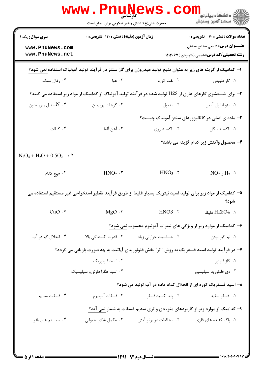|                                                                                                                     | www . Pni<br>کارشناسی<br>حضرت علی(ع): دانش راهبر نیکویی برای ایمان است |                        | ڪ دانشڪاه پيا <sub>م</sub> نور<br><mark>√</mark> مرڪز آزمون وسنڊش                                             |
|---------------------------------------------------------------------------------------------------------------------|------------------------------------------------------------------------|------------------------|---------------------------------------------------------------------------------------------------------------|
| <b>سری سوال :</b> یک ۱                                                                                              | <b>زمان آزمون (دقیقه) : تستی : 120 گشریحی : 0</b>                      |                        | <b>تعداد سوالات : تستي : 40 قشريحي : 0</b>                                                                    |
| www.PnuNews.com<br>www.PnuNews.net                                                                                  |                                                                        |                        | <b>عنـــوان درس:</b> شیمی صنایع معدنی<br><b>رشته تحصیلی/کد درس:</b> شیمی (کاربردی )۱۱۱۴۰۶۷                    |
|                                                                                                                     |                                                                        |                        | ا– کدامیک از گزینه های زیر به عنوان منبع تولید هیدروژن برای گاز سنتز در فرآیند تولید آمونیاک استفاده نمی شود؟ |
| ۰۴ زغال سنگ                                                                                                         | ۰۳ هوا                                                                 | ۰۲ نفت کوره            | ۰۱ گاز طبیعی                                                                                                  |
| ۲– برای شستشوی گازهای عاری از H2S تولید شده در فرآیند تولید آمونیاک از کدامیک از مواد زیر استفاده می کنند؟          |                                                                        |                        |                                                                                                               |
| - $\mathrm{N}$ . ۴-متيل پيروليدون                                                                                   | ۰۳ كربنات پروپيلن                                                      | ۰۲ متانول              | ۰۱ منو اتانول آمین                                                                                            |
|                                                                                                                     |                                                                        |                        | <b>۳</b> - ماده ی اصلی در کاتالیزورهای سنتز آمونیاک چیست؟                                                     |
| ۰۴ کبالت                                                                                                            | ۰۳ آهن آلفا                                                            | ۰۲ اکسید روی           | ٠١. اکسید نیکل                                                                                                |
|                                                                                                                     |                                                                        |                        | ۴- محصول واکنش زیر کدام گزینه می باشد؟                                                                        |
| $N_2O_4 + H_2O + 0.5O_2 \rightarrow ?$                                                                              |                                                                        |                        |                                                                                                               |
| ۰۴ هيچ کدام                                                                                                         | $HNO2$ . $\mathbf{r}$                                                  | $HNO3$ .               | $NO2$ , $H2$ . $N$                                                                                            |
| ۵– کدامیک از مواد زیر برای تولید اسید نیتریک بسیار غلیظ از طریق فرآیند تقطیر استخراجی غیر مستقیم استفاده می<br>شود؟ |                                                                        |                        |                                                                                                               |
| $CuO.$ *                                                                                                            | $MgO \cdot r$                                                          | HNO3 .٢                | 1. H2SO4 غليظ                                                                                                 |
|                                                                                                                     |                                                                        |                        | ۶- کدامیک از موارد زیر از ویژگی های نیترات آمونیوم محسوب نمی شود؟                                             |
| ۰۴ انحلال کم در آب                                                                                                  | ۰۳ قدرت اکسندگی بالا                                                   | ۰۲ حساسیت حرارتی زیاد  | ۰۱ نم گیر بودن                                                                                                |
|                                                                                                                     |                                                                        |                        | ۷- در فرآیند تولید اسید فسفریک به روش " تر" بخش فلوئوریدی آپاتیت به چه صورت بازیابی می گردد؟                  |
|                                                                                                                     | ۰۲ اسید فلوئوریک                                                       |                        | ۰۱ گاز فلوئور                                                                                                 |
|                                                                                                                     | ۰۴ اسید هگزا فلوئورو سیلیسیک                                           |                        | ۰۳ دی فلوئورید سیلیسیم                                                                                        |
|                                                                                                                     |                                                                        |                        | ۸– اسید فسفریک کوره ای از انحلال کدام ماده در آب تولید می شود؟                                                |
| ۰۴ فسفات سديم                                                                                                       | ۰۳ فسفات آمونيوم                                                       | ۰۲ پنتا اکسید فسفر     | ٠١ فسفر سفيد                                                                                                  |
|                                                                                                                     |                                                                        |                        | ۹- کدامیک از موارد زیر از کاربردهای منو، دی و تری سدیم فسفات به شمار نمی آید؟                                 |
| ۰۴ سیستم های بافر                                                                                                   | ۰۳ مکمل غذای حیوانی                                                    | ۰۲ محافظت در برابر آتش | ۰۱. پاک کننده های فلزی                                                                                        |
|                                                                                                                     |                                                                        |                        |                                                                                                               |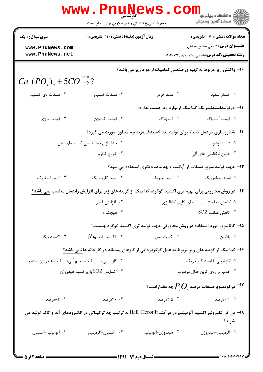|                                                   | <b>www.Pnunews</b><br><b>کارشناسی</b><br>حضرت علی(ع): دانش راهبر نیکویی برای ایمان است                            |                     | ر دانشڪاه پيام نور <mark>−</mark><br>ا∛ مرکز آزمون وسنڊش                                   |
|---------------------------------------------------|-------------------------------------------------------------------------------------------------------------------|---------------------|--------------------------------------------------------------------------------------------|
| <b>سری سوال : ۱ یک</b>                            | زمان آزمون (دقیقه) : تستی : ۱۲۰ تشریحی : ۰                                                                        |                     | <b>تعداد سوالات : تستی : 40 - تشریحی : 0</b>                                               |
| www.PnuNews.com<br>www.PnuNews.net                |                                                                                                                   |                     | <b>عنـــوان درس:</b> شیمی صنایع معدنی<br><b>رشته تحصیلی/کد درس:</b> شیمی (کاربردی )۱۱۱۴۰۶۷ |
|                                                   |                                                                                                                   |                     | ∙ا− واکنش زیر مربوط به تهیه ی صنعتی کدامیک از مواد زیر می باشد؟                            |
| $Ca_{\alpha}(PO_{4})$ , +5CO $\rightarrow 2$ ?    |                                                                                                                   |                     |                                                                                            |
| ۰۴ فسفات دی کلسیم                                 | ۰۳ فسفات كلسيم                                                                                                    | ۰۲ فسفر قرمز        | ٠١ فسفر سفيد                                                                               |
|                                                   |                                                                                                                   |                     | اا– در تولیداسیدنیتریک کدامیک ازموارد زیراهمیت ندارد؟                                      |
| ۰۴ قیمت انرژی                                     | ۰۳ قیمت اکسیژن                                                                                                    | ٢. استهلاک          | ٠١. قيمت آمونياك                                                                           |
|                                                   | ۱۲– شناورسازی درعمل تغلیظ برای تولید پنتااکسیدفسفربه چه منظور صورت می گیرد؟                                       |                     |                                                                                            |
|                                                   | ۰۲ جداسازی مغناطیسی اکسیدهای آهن                                                                                  |                     | ۰۱ شست وشو                                                                                 |
|                                                   | ۰۴ خروج کوارتز                                                                                                    |                     | ۰۳ خروج ناخالصي هاي آلي                                                                    |
|                                                   |                                                                                                                   |                     | ۱۳- جهت تولید سوپر فسفات از آپاتیت و چه ماده دیگری استفاده می شود؟                         |
| ۰۴ اسید فسفریک                                    | ۰۳ اسید کلریدریک                                                                                                  | ۰۲ اسید نیتریک      | ۰۱ اسید سولفوریک                                                                           |
|                                                   | <b>۱۴</b> - در روش مجاورتی برای تهیه تری اکسید گوگرد، کدامیک از گزینه های زیر برای افزایش راندمان مناسب نمی باشد؟ |                     |                                                                                            |
|                                                   | ۰۲ افزایش فشار                                                                                                    |                     | ۰۱ کاهش دما متناسب با دمای کاری کاتالیزور                                                  |
|                                                   | ۰۴ هیچکدام                                                                                                        |                     | $SO2$ كاهش غلظت.                                                                           |
|                                                   | ۱۵– کاتالیزور مورد استفاده در روش مجاورتی جهت تولید تری اکسید گوگرد چیست؟                                         |                     |                                                                                            |
| ۰۴ اکسید نیکل                                     | $(V)_{\rho}$ ۰۳ كسيد واناديم. $\cdot$                                                                             | ۰۲ اکسید مس         | ۰۱ پلاتين                                                                                  |
|                                                   | ۱۶– کدامیک از گزینه های زیر مربوط به عمل گوگردزدایی از گازهای پسماند در کارخانه ها <u>نمی</u> باشد؟               |                     |                                                                                            |
| ۰۲ گازشویی با سولفیت سدیم آبی/سولفیت هیدروژن سدیم |                                                                                                                   |                     | ۰۱ گازشویی با اسید کلریدریک                                                                |
|                                                   | ۰۴ اکسایش SO2 با پراکسید هیدروژن                                                                                  |                     | ۰۳ جذب بر روی کربن فعال مرطوب                                                              |
|                                                   |                                                                                                                   |                     | $^{\circ}$ در کودسوپرفسفات درصد $P_{_{\circ}}O_{_{\circ}}$ چه مقداراست $^{-1}$             |
| ۰۴ ۸۳درصد                                         | ۰۰ ۲۰درصد                                                                                                         | ۰۲ ۱۵/۲درصد         | ۰۱ ۰/۱۰درصد                                                                                |
|                                                   | ۱۸− در اثر الکترولیز اکسید آلومینیم در فرآیند Hall_Heroult به ترتیب چه ترکیباتی در الکترودهای آند و کاتد تولید می |                     | شوند؟                                                                                      |
| ۰۴ آلومينيم-اكسيژن                                | ۴. اکسیژن-آلومینیم                                                                                                | ۰۲ هيدروژن-آلومينيم | ٠١ ألومينيم-هيدروژن                                                                        |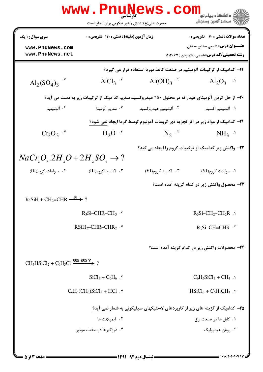|                                                                                                  | <b>WWW.Pnungt</b><br>حضرت علی(ع): دانش راهبر نیکویی برای ایمان است                     |                                                                                                  | دانشگاه پیام نو <mark>.</mark><br>ا∛ مرکز آزمون وسنجش                                       |
|--------------------------------------------------------------------------------------------------|----------------------------------------------------------------------------------------|--------------------------------------------------------------------------------------------------|---------------------------------------------------------------------------------------------|
| <b>سری سوال : ۱ یک</b>                                                                           | زمان آزمون (دقیقه) : تستی : ۱۲۰ تشریحی : ۰                                             |                                                                                                  | <b>تعداد سوالات : تستي : 40 - تشريحي : 0</b>                                                |
| www.PnuNews.com<br>www.PnuNews.net                                                               |                                                                                        |                                                                                                  | <b>عنـــوان درس:</b> شیمی صنایع معدنی<br><b>رشته تحصیلی/کد درس:</b> شیمی (کاربردی ) ۱۱۱۴۰۶۷ |
|                                                                                                  |                                                                                        | ۱۹– کدامیک از ترکیبات آلومینیم در صنعت کاغذ مورد استفاده قرار می گیرد؟                           |                                                                                             |
| $Al_2(SO_4)_3$ <sup>.*</sup>                                                                     | AlCl <sub>3</sub> $\cdot$ <sup>r</sup>                                                 | $Al(OH)_{3}$ $.7$                                                                                | $\text{Al}_2\text{O}_3$ .                                                                   |
|                                                                                                  |                                                                                        | +۲- از حل کردن آلومینای هیدراته در محلول ۵۰٪ هیدروکسید سدیم کدامیک از ترکیبات زیر به دست می آید؟ |                                                                                             |
| ۰۴ آلومينيم                                                                                      | ۰۳ سديم آلومينا                                                                        | ۰۲ آلومينيم هيدروكسيد                                                                            | ٠١. آلومينيم اكسيد                                                                          |
|                                                                                                  | <b>۲۱</b> - کدامیک از مواد زیر در اثر تجزیه دی کرومات آمونیوم توسط گرما ایجاد نمی شود؟ |                                                                                                  |                                                                                             |
| $Cr_2O_3$ .*                                                                                     | $H_2O$ $\cdot$                                                                         | $N_2$ $\cdot$ <sup>r</sup>                                                                       | $NH_3$ <sup>1</sup>                                                                         |
| ۲۲- واکنش زیر کدامیک از ترکیبات کروم را ایجاد می کند؟<br>$NaCr_1O_2.2H_1O+2H_1SO_4\rightarrow ?$ |                                                                                        |                                                                                                  |                                                                                             |
| ۰۴ سولفات کروم(III)                                                                              | ۰۳ اکسید کروم(III)                                                                     | ۰۲ اکسید کروم(VI)                                                                                | ۰۱ سولفات کروم(VI)                                                                          |
|                                                                                                  |                                                                                        |                                                                                                  | ٢٣- محصول واكنش زير در كدام گزينه آمده است؟                                                 |
| $R_3SH + CH_2=CHR \xrightarrow{\text{Pt}} ?$                                                     |                                                                                        |                                                                                                  |                                                                                             |
|                                                                                                  | $R_3Si-CHR-CH_3.7$                                                                     |                                                                                                  | $R_3Si-CH_2-CH_2R$ .                                                                        |
|                                                                                                  | $RSiH_2$ -CHR-CHR <sub>2</sub> .*                                                      |                                                                                                  | $R_3$ Si-CH=CHR $\cdot$ "                                                                   |
|                                                                                                  |                                                                                        |                                                                                                  | ۲۴- محصولات واکنش زیر در کدام گزینه آمده است؟                                               |
| $CH_3HSiCl_2 + C_6H_5Cl \xrightarrow{550-650°C} ?$                                               |                                                                                        |                                                                                                  |                                                                                             |
|                                                                                                  | $SiCl_3 + C_6H_6$ .                                                                    |                                                                                                  | $C_6H_5SiCl_3 + CH_4$ .                                                                     |
|                                                                                                  | $C_6H_5(CH_3)SiCl_2 + HCl.$ f                                                          |                                                                                                  | $HSiCl_3 + C_6H_5CH_3$ .                                                                    |
| ۲۵– کدامیک از گزینه های زیر از کاربردهای لاستیکهای سیلیکونی به شمار نمی آید؟                     |                                                                                        |                                                                                                  |                                                                                             |
|                                                                                                  | ۰۲ ایمیلانت ها                                                                         |                                                                                                  | ۰۱ کابل ها در صنعت برق                                                                      |
|                                                                                                  | ۰۴ درزگیرها در صنعت موتور                                                              |                                                                                                  | ۰۳ روغن هيدروليک                                                                            |
|                                                                                                  |                                                                                        | <b>ـــــــ ن</b> مسال دوم ۹۲-۱۳۹۱ <b>ــــ</b>                                                    | = 1+1+/1+1+1+79'                                                                            |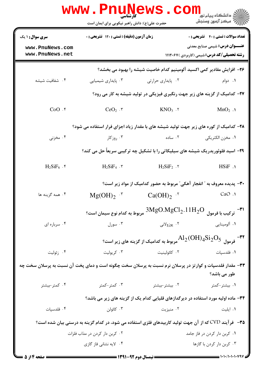|                                                                                                           | WWW.PILUNG<br>حضرت علی(ع): دانش راهبر نیکویی برای ایمان است             |                                                                                                               | ≦ دانشگاه پيام نو <mark>ر</mark><br>رُ ۖ مرڪز آزمون وسنڊش                                   |
|-----------------------------------------------------------------------------------------------------------|-------------------------------------------------------------------------|---------------------------------------------------------------------------------------------------------------|---------------------------------------------------------------------------------------------|
| <b>سری سوال :</b> ۱ یک                                                                                    | <b>زمان آزمون (دقیقه) : تستی : 120 تشریحی : 0</b>                       |                                                                                                               | تعداد سوالات : تستى : 40 - تشريحي : 0                                                       |
| www.PnuNews.com<br>www.PnuNews.net                                                                        |                                                                         |                                                                                                               | <b>عنـــوان درس:</b> شیمی صنایع معدنی<br><b>رشته تحصیلی/کد درس:</b> شیمی (کاربردی ) ۱۱۱۴۰۶۷ |
|                                                                                                           |                                                                         | ۲۶– افزایش مقادیر کمی اکسید آلومینیم کدام خاصیت شیشه را بهبود می بخشد؟                                        |                                                                                             |
| ۰۴ شفافیت شیشه                                                                                            | ۰۳ پايداري شيميايي                                                      | ۰۲ پایداری حرارتی                                                                                             | ۰۱ دوام                                                                                     |
|                                                                                                           |                                                                         | ۲۷- کدامیک از گزینه های زیر جهت رنگبری فیزیکی در تولید شیشه به کار می رود؟                                    |                                                                                             |
| $CoO.$ *                                                                                                  | $CeO2$ . ۳                                                              | $KNO_3$ . $\tau$                                                                                              | $MnO2$ .                                                                                    |
| ۲۸– کدامیک از کوره های زیر جهت تولید شیشه های با مقدار زیاد اجزای فرار استفاده می شود؟                    |                                                                         |                                                                                                               |                                                                                             |
| ۰۴ مخزنی                                                                                                  | ۰۳ روزکار                                                               | ۰۲ ساده                                                                                                       | ٠١ مخزن الكتريكي                                                                            |
|                                                                                                           |                                                                         | ۲۹- اسید فلوئوریدریک شیشه های سیلیکاتی را با تشکیل چه ترکیبی سریعاً حل می کند؟                                |                                                                                             |
| $H_2SiF_6$ .                                                                                              | $H_2SiF_4$ .                                                            | $H_2SiF_2$ . $\tau$                                                                                           | HSiF.                                                                                       |
|                                                                                                           | ۳۰– پدیده معروف به ″ انفجار آهکی″ مربوط به حضور کدامیک از مواد زیر است؟ |                                                                                                               |                                                                                             |
| ۰۴ همه گزینه ها                                                                                           | $Mg(OH)_2$ <sup>.*</sup>                                                | $Ca(OH)_2$ .                                                                                                  | CaO .1                                                                                      |
|                                                                                                           | مربوط به کدام نوع سیمان است؟                                            | $3MgO.MgCl2.11H2O$                                                                                            | ۳۱–<br>ترکیب با فرمول                                                                       |
| ۰۴ سرباره ای                                                                                              | ۰۳ سورل                                                                 | ۲. پوزولانی                                                                                                   | ۰۱ آلومینایی                                                                                |
|                                                                                                           |                                                                         | <sup>47</sup> فرمول $\rm _{2}Si_{2}O_{5}$ مربوط به کدامیک از گزینه های زیر است؟ Al $_2$ (OH) فرمول $^{-1}$    |                                                                                             |
| ۰۴ زئولیت                                                                                                 | ۰۳ کریولیت                                                              | ٠٢ كائولينيت                                                                                                  | ٠١ فلدسپات                                                                                  |
| ۳۳– مقدار فلدسپات و کوارتز در پرسلان نرم نسبت به پرسلان سخت چگونه است و دمای پخت آن نسبت به پرسلان سخت چه |                                                                         |                                                                                                               | طور می باشد؟                                                                                |
| ۰۴ کمتر-بیشتر                                                                                             | ۰۳ کمتر-کمتر                                                            | ۰۲ بیشتر-بیشتر                                                                                                | ۰۱ بیشتر-کمتر                                                                               |
|                                                                                                           |                                                                         | ۳۴– ماده اولیه مورد استفاده در دیرگدازهای قلیایی کدام یک از گزینه های زیر می باشد؟                            |                                                                                             |
| ۰۴ فلدسپات                                                                                                | ۰۳ کائولن                                                               | ۰۲ منیزیت                                                                                                     | ۰۱ ایلیت                                                                                    |
|                                                                                                           |                                                                         | <b>۳۵</b> – فرآیند CVD که از آن جهت تولید کاربیدهای فلزی استفاده می شود، در کدام گزینه به درستی بیان شده است؟ |                                                                                             |
|                                                                                                           | ۰۲ کربن دار کردن در مذاب فلزات                                          |                                                                                                               | ۰۱ کربن دار کردن در فاز جامد                                                                |
|                                                                                                           | ۰۴ لایه نشانی فاز گازی                                                  |                                                                                                               | ۰۳ کربن دار کردن با گازها                                                                   |
| <b>: صفحه ۱۴ز 5</b>                                                                                       |                                                                         |                                                                                                               |                                                                                             |